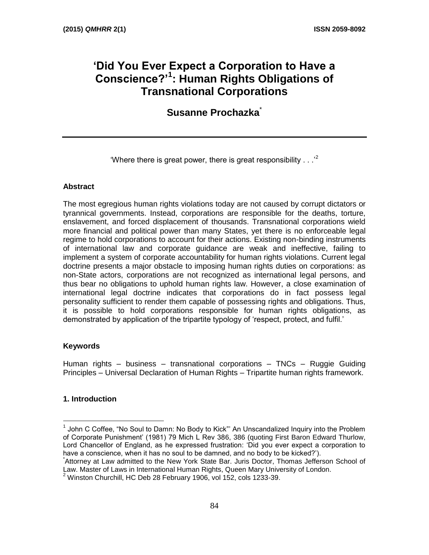# **'Did You Ever Expect a Corporation to Have a Conscience?'<sup>1</sup> : Human Rights Obligations of Transnational Corporations**

**Susanne Prochazka**\*

'Where there is great power, there is great responsibility  $\ldots$ <sup>2</sup>

#### **Abstract**

The most egregious human rights violations today are not caused by corrupt dictators or tyrannical governments. Instead, corporations are responsible for the deaths, torture, enslavement, and forced displacement of thousands. Transnational corporations wield more financial and political power than many States, yet there is no enforceable legal regime to hold corporations to account for their actions. Existing non-binding instruments of international law and corporate guidance are weak and ineffective, failing to implement a system of corporate accountability for human rights violations. Current legal doctrine presents a major obstacle to imposing human rights duties on corporations: as non-State actors, corporations are not recognized as international legal persons, and thus bear no obligations to uphold human rights law. However, a close examination of international legal doctrine indicates that corporations do in fact possess legal personality sufficient to render them capable of possessing rights and obligations. Thus, it is possible to hold corporations responsible for human rights obligations, as demonstrated by application of the tripartite typology of 'respect, protect, and fulfil.'

#### **Keywords**

Human rights – business – transnational corporations – TNCs – Ruggie Guiding Principles – Universal Declaration of Human Rights – Tripartite human rights framework.

## **1. Introduction**

<sup>1</sup> John C Coffee, "No Soul to Damn: No Body to Kick"' An Unscandalized Inquiry into the Problem of Corporate Punishment' (1981) 79 Mich L Rev 386, 386 (quoting First Baron Edward Thurlow, Lord Chancellor of England, as he expressed frustration: 'Did you ever expect a corporation to have a conscience, when it has no soul to be damned, and no body to be kicked?').

<sup>\*</sup> Attorney at Law admitted to the New York State Bar. Juris Doctor, Thomas Jefferson School of Law. Master of Laws in International Human Rights, Queen Mary University of London.

 $2$  Winston Churchill, HC Deb 28 February 1906, vol 152, cols 1233-39.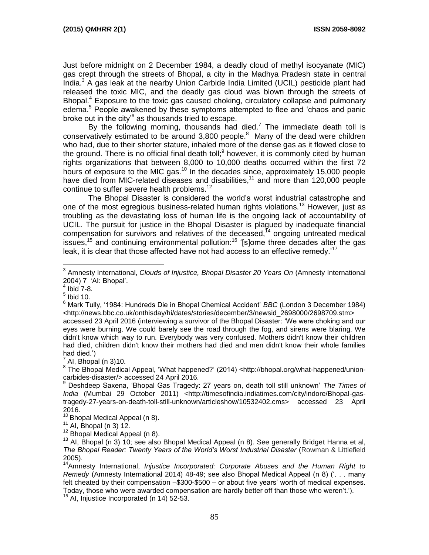Just before midnight on 2 December 1984, a deadly cloud of methyl isocyanate (MIC) gas crept through the streets of Bhopal, a city in the Madhya Pradesh state in central India.<sup>3</sup> A gas leak at the nearby Union Carbide India Limited (UCIL) pesticide plant had released the toxic MIC, and the deadly gas cloud was blown through the streets of Bhopal.<sup>4</sup> Exposure to the toxic gas caused choking, circulatory collapse and pulmonary edema.<sup>5</sup> People awakened by these symptoms attempted to flee and 'chaos and panic broke out in the city'<sup>6</sup> as thousands tried to escape.

By the following morning, thousands had died.<sup>7</sup> The immediate death toll is conservatively estimated to be around  $3,800$  people.<sup>8</sup> Many of the dead were children who had, due to their shorter stature, inhaled more of the dense gas as it flowed close to the ground. There is no official final death toll; $9$  however, it is commonly cited by human rights organizations that between 8,000 to 10,000 deaths occurred within the first 72 hours of exposure to the MIC gas.<sup>10</sup> In the decades since, approximately 15,000 people have died from MIC-related diseases and disabilities,<sup>11</sup> and more than 120,000 people continue to suffer severe health problems.<sup>12</sup>

The Bhopal Disaster is considered the world's worst industrial catastrophe and one of the most egregious business-related human rights violations.<sup>13</sup> However, just as troubling as the devastating loss of human life is the ongoing lack of accountability of UCIL. The pursuit for justice in the Bhopal Disaster is plagued by inadequate financial compensation for survivors and relatives of the deceased, $14$  ongoing untreated medical issues,<sup>15</sup> and continuing environmental pollution:<sup>16</sup> '[s]ome three decades after the gas leak, it is clear that those affected have not had access to an effective remedy.<sup>'17</sup>

 $4$  Ibid 7-8.

 $<sup>5</sup>$  Ibid 10.</sup>

 $\overline{a}$ 

<sup>6</sup> Mark Tully, '1984: Hundreds Die in Bhopal Chemical Accident' *BBC* (London 3 December 1984) <http://news.bbc.co.uk/onthisday/hi/dates/stories/december/3/newsid\_2698000/2698709.stm> accessed 23 April 2016 (interviewing a survivor of the Bhopal Disaster: 'We were choking and our eyes were burning. We could barely see the road through the fog, and sirens were blaring. We didn't know which way to run. Everybody was very confused. Mothers didn't know their children had died, children didn't know their mothers had died and men didn't know their whole families had died.')

 $<sup>7</sup>$  AI, Bhopal (n 3)10.</sup>

<sup>8</sup> The Bhopal Medical Appeal, 'What happened?' (2014) <http://bhopal.org/what-happened/unioncarbides-disaster/> accessed 24 April 2016.

 $10$  Bhopal Medical Appeal (n 8).

<sup>11</sup> Al, Bhopal (n 3) 12.

 $12$  Bhopal Medical Appeal (n 8).

<sup>15</sup> AI, Injustice Incorporated (n 14) 52-53.

<sup>3</sup> Amnesty International, *Clouds of Injustice, Bhopal Disaster 20 Years On* (Amnesty International 2004) 7 'AI: Bhopal'.

<sup>9</sup> Deshdeep Saxena, 'Bhopal Gas Tragedy: 27 years on, death toll still unknown' *The Times of India* (Mumbai 29 October 2011) <http://timesofindia.indiatimes.com/city/indore/Bhopal-gastragedy-27-years-on-death-toll-still-unknown/articleshow/10532402.cms> accessed 23 April 2016.

<sup>&</sup>lt;sup>13</sup> AI, Bhopal (n 3) 10; see also Bhopal Medical Appeal (n 8). See generally Bridget Hanna et al, *The Bhopal Reader: Twenty Years of the World's Worst Industrial Disaster* (Rowman & Littlefield 2005).

<sup>14</sup>Amnesty International, *Injustice Incorporated: Corporate Abuses and the Human Right to Remedy* (Amnesty International 2014) 48-49; see also Bhopal Medical Appeal (n 8) ('. . . many felt cheated by their compensation –\$300-\$500 – or about five years' worth of medical expenses. Today, those who were awarded compensation are hardly better off than those who weren't.').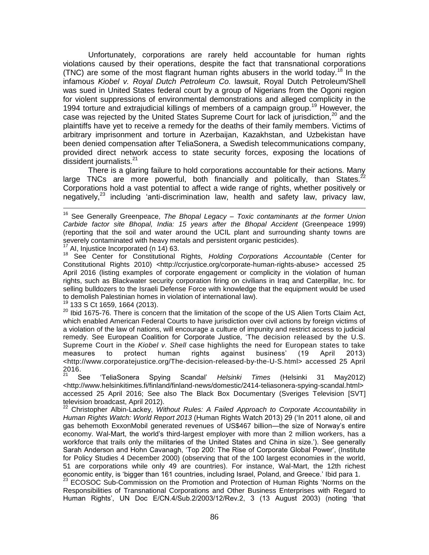Unfortunately, corporations are rarely held accountable for human rights violations caused by their operations, despite the fact that transnational corporations (TNC) are some of the most flagrant human rights abusers in the world today.<sup>18</sup> In the infamous *Kiobel v. Royal Dutch Petroleum Co.* lawsuit, Royal Dutch Petroleum/Shell was sued in United States federal court by a group of Nigerians from the Ogoni region for violent suppressions of environmental demonstrations and alleged complicity in the 1994 torture and extrajudicial killings of members of a campaign group.<sup>19</sup> However, the case was rejected by the United States Supreme Court for lack of jurisdiction.<sup>20</sup> and the plaintiffs have yet to receive a remedy for the deaths of their family members. Victims of arbitrary imprisonment and torture in Azerbaijan, Kazakhstan, and Uzbekistan have been denied compensation after TeliaSonera, a Swedish telecommunications company, provided direct network access to state security forces, exposing the locations of dissident journalists.<sup>21</sup>

There is a glaring failure to hold corporations accountable for their actions. Many large TNCs are more powerful, both financially and politically, than States. $^{22}$ Corporations hold a vast potential to affect a wide range of rights, whether positively or negatively, $23$  including 'anti-discrimination law, health and safety law, privacy law,

 $17$  AI, Injustice Incorporated (n 14) 63.

 $\overline{a}$ 

<sup>18</sup> See Center for Constitutional Rights, *Holding Corporations Accountable* (Center for Constitutional Rights 2010) <http://ccrjustice.org/corporate-human-rights-abuse> accessed 25 April 2016 (listing examples of corporate engagement or complicity in the violation of human rights, such as Blackwater security corporation firing on civilians in Iraq and Caterpillar, Inc. for selling bulldozers to the Israeli Defense Force with knowledge that the equipment would be used to demolish Palestinian homes in violation of international law).

<sup>19</sup> 133 S Ct 1659, 1664 (2013).

<sup>20</sup> Ibid 1675-76. There is concern that the limitation of the scope of the US Alien Torts Claim Act, which enabled American Federal Courts to have jurisdiction over civil actions by foreign victims of a violation of the law of nations, will encourage a culture of impunity and restrict access to judicial remedy. See European Coalition for Corporate Justice, 'The decision released by the U.S. Supreme Court in the *Kiobel v. Shell* case highlights the need for European states to take measures to protect human rights against business' (19 April 2013) <http://www.corporatejustice.org/The-decision-released-by-the-U-S.html> accessed 25 April  $\frac{2016}{21}$ 

<sup>21</sup> See 'TeliaSonera Spying Scandal' *Helsinki Times* (Helsinki 31 May2012) <http://www.helsinkitimes.fi/finland/finland-news/domestic/2414-teliasonera-spying-scandal.html> accessed 25 April 2016; See also The Black Box Documentary (Sveriges Television [SVT] television broadcast, April 2012).

<sup>22</sup> Christopher Albin-Lackey, *Without Rules: A Failed Approach to Corporate Accountability* in *Human Rights Watch: World Report 2013* (Human Rights Watch 2013) 29 ('In 2011 alone, oil and gas behemoth ExxonMobil generated revenues of US\$467 billion—the size of Norway's entire economy. Wal-Mart, the world's third-largest employer with more than 2 million workers, has a workforce that trails only the militaries of the United States and China in size.'). See generally Sarah Anderson and Hohn Cavanagh, 'Top 200: The Rise of Corporate Global Power', (Institute for Policy Studies 4 December 2000) (observing that of the 100 largest economies in the world, 51 are corporations while only 49 are countries). For instance, Wal-Mart, the 12th richest economic entity, is 'bigger than 161 countries, including Israel, Poland, and Greece.' Ibid para 1.

<sup>23</sup> ECOSOC Sub-Commission on the Promotion and Protection of Human Rights 'Norms on the Responsibilities of Transnational Corporations and Other Business Enterprises with Regard to Human Rights', UN Doc E/CN.4/Sub.2/2003/12/Rev.2, 3 (13 August 2003) (noting 'that

<sup>16</sup> See Generally Greenpeace, *The Bhopal Legacy – Toxic contaminants at the former Union Carbide factor site Bhopal, India: 15 years after the Bhopal Accident* (Greenpeace 1999) (reporting that the soil and water around the UCIL plant and surrounding shanty towns are severely contaminated with heavy metals and persistent organic pesticides).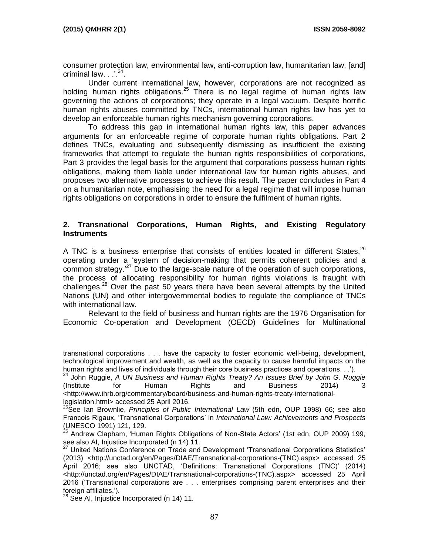$\overline{a}$ 

consumer protection law, environmental law, anti-corruption law, humanitarian law, [and] criminal law.  $\therefore$   $^{24}$ .

Under current international law, however, corporations are not recognized as holding human rights obligations.<sup>25</sup> There is no legal regime of human rights law governing the actions of corporations; they operate in a legal vacuum. Despite horrific human rights abuses committed by TNCs, international human rights law has yet to develop an enforceable human rights mechanism governing corporations.

To address this gap in international human rights law, this paper advances arguments for an enforceable regime of corporate human rights obligations. Part 2 defines TNCs, evaluating and subsequently dismissing as insufficient the existing frameworks that attempt to regulate the human rights responsibilities of corporations, Part 3 provides the legal basis for the argument that corporations possess human rights obligations, making them liable under international law for human rights abuses, and proposes two alternative processes to achieve this result. The paper concludes in Part 4 on a humanitarian note, emphasising the need for a legal regime that will impose human rights obligations on corporations in order to ensure the fulfilment of human rights.

#### **2. Transnational Corporations, Human Rights, and Existing Regulatory Instruments**

A TNC is a business enterprise that consists of entities located in different States.<sup>26</sup> operating under a 'system of decision-making that permits coherent policies and a common strategy.<sup>27</sup> Due to the large-scale nature of the operation of such corporations, the process of allocating responsibility for human rights violations is fraught with challenges. $^{28}$  Over the past 50 years there have been several attempts by the United Nations (UN) and other intergovernmental bodies to regulate the compliance of TNCs with international law.

Relevant to the field of business and human rights are the 1976 Organisation for Economic Co-operation and Development (OECD) Guidelines for Multinational

transnational corporations . . . have the capacity to foster economic well-being, development, technological improvement and wealth, as well as the capacity to cause harmful impacts on the human rights and lives of individuals through their core business practices and operations. . .').

<sup>24</sup> John Ruggie, *A UN Business and Human Rights Treaty? An Issues Brief by John G. Ruggie* (Institute for Human Rights and Business 2014) 3 <http://www.ihrb.org/commentary/board/business-and-human-rights-treaty-internationallegislation.html> accessed 25 April 2016.

<sup>&</sup>lt;sup>25</sup>See Ian Brownlie, *Principles of Public International Law* (5th edn, OUP 1998) 66; see also Francois Rigaux, 'Transnational Corporations' in *International Law: Achievements and Prospects* (UNESCO 1991) 121, 129.

<sup>26</sup> Andrew Clapham, 'Human Rights Obligations of Non-State Actors' (1st edn, OUP 2009) 199*;* see also AI, Injustice Incorporated (n 14) 11.

<sup>27</sup> United Nations Conference on Trade and Development 'Transnational Corporations Statistics' (2013) <http://unctad.org/en/Pages/DIAE/Transnational-corporations-(TNC).aspx> accessed 25 April 2016; see also UNCTAD, 'Definitions: Transnational Corporations (TNC)' (2014) <http://unctad.org/en/Pages/DIAE/Transnational-corporations-(TNC).aspx> accessed 25 April 2016 ('Transnational corporations are . . . enterprises comprising parent enterprises and their foreign affiliates.').

<sup>&</sup>lt;sup>28</sup> See AI, Injustice Incorporated (n 14) 11.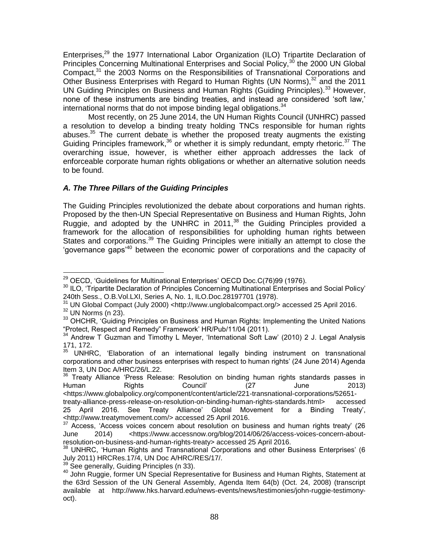Enterprises,<sup>29</sup> the 1977 International Labor Organization (ILO) Tripartite Declaration of Principles Concerning Multinational Enterprises and Social Policy,<sup>30</sup> the 2000 UN Global Compact,<sup>31</sup> the 2003 Norms on the Responsibilities of Transnational Corporations and Other Business Enterprises with Regard to Human Rights (UN Norms), $32$  and the 2011 UN Guiding Principles on Business and Human Rights (Guiding Principles).<sup>33</sup> However, none of these instruments are binding treaties, and instead are considered 'soft law,' international norms that do not impose binding legal obligations. $34$ 

Most recently, on 25 June 2014, the UN Human Rights Council (UNHRC) passed a resolution to develop a binding treaty holding TNCs responsible for human rights abuses. $35$  The current debate is whether the proposed treaty augments the existing Guiding Principles framework,<sup>36</sup> or whether it is simply redundant, empty rhetoric.<sup>37</sup> The overarching issue, however, is whether either approach addresses the lack of enforceable corporate human rights obligations or whether an alternative solution needs to be found.

## *A. The Three Pillars of the Guiding Principles*

The Guiding Principles revolutionized the debate about corporations and human rights. Proposed by the then-UN Special Representative on Business and Human Rights, John Ruggie, and adopted by the UNHRC in 2011,<sup>38</sup> the Guiding Principles provided a framework for the allocation of responsibilities for upholding human rights between States and corporations.<sup>39</sup> The Guiding Principles were initially an attempt to close the 'governance gaps'<sup>40</sup> between the economic power of corporations and the capacity of

 $32$  UN Norms (n 23).

 $\overline{a}$ <sup>29</sup> OECD, 'Guidelines for Multinational Enterprises' OECD Doc.C(76)99 (1976).

<sup>&</sup>lt;sup>30</sup> ILO. 'Tripartite Declaration of Principles Concerning Multinational Enterprises and Social Policy' 240th Sess., O.B.Vol.LXI, Series A, No. 1, ILO.Doc.28197701 (1978).

<sup>31</sup> UN Global Compact (July 2000) <http://www.unglobalcompact.org/> accessed 25 April 2016.

<sup>&</sup>lt;sup>33</sup> OHCHR, 'Guiding Principles on Business and Human Rights: Implementing the United Nations "Protect, Respect and Remedy" Framework' HR/Pub/11/04 (2011).

<sup>34</sup> Andrew T Guzman and Timothy L Meyer, 'International Soft Law' (2010) 2 J. Legal Analysis  $171, 172.$ <sup>35</sup>

<sup>35</sup> UNHRC, 'Elaboration of an international legally binding instrument on transnational corporations and other business enterprises with respect to human rights' (24 June 2014) Agenda Item 3, UN Doc A/HRC/26/L.22.

<sup>&</sup>lt;sup>36</sup> Treaty Alliance 'Press Release: Resolution on binding human rights standards passes in<br>Human Rights Council' (27 June 2013) Human Rights Council' (27 June 2013) <https://www.globalpolicy.org/component/content/article/221-transnational-corporations/52651 treaty-alliance-press-release-on-resolution-on-binding-human-rights-standards.html> accessed

<sup>25</sup> April 2016. See Treaty Alliance' Global Movement for a Binding Treaty', <http://www.treatymovement.com/> accessed 25 April 2016.

Access, 'Access voices concern about resolution on business and human rights treaty' (26 June 2014) <https://www.accessnow.org/blog/2014/06/26/access-voices-concern-aboutresolution-on-business-and-human-rights-treaty> accessed 25 April 2016.

<sup>&</sup>lt;sup>38</sup> UNHRC, 'Human Rights and Transnational Corporations and other Business Enterprises' (6 July 2011) HRCRes.17/4, UN Doc A/HRC/RES/17/.

 $39$  See generally, Guiding Principles (n 33).

<sup>40</sup> John Ruggie, former UN Special Representative for Business and Human Rights, Statement at the 63rd Session of the UN General Assembly, Agenda Item 64(b) (Oct. 24, 2008) (transcript available at http://www.hks.harvard.edu/news-events/news/testimonies/john-ruggie-testimonyoct).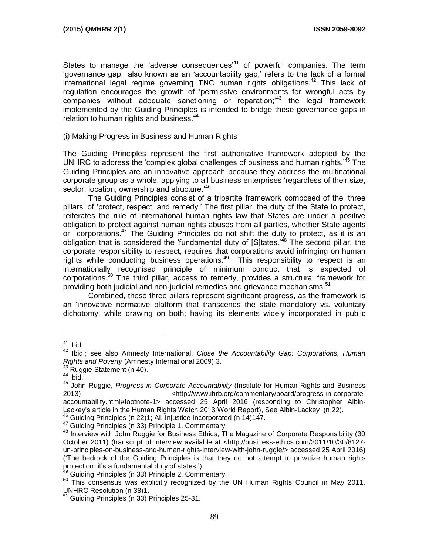States to manage the 'adverse consequences<sup>'41</sup> of powerful companies. The term 'governance gap,' also known as an 'accountability gap,' refers to the lack of a formal international legal regime governing TNC human rights obligations.<sup>42</sup> This lack of regulation encourages the growth of 'permissive environments for wrongful acts by companies without adequate sanctioning or reparation;'<sup>43</sup> the legal framework implemented by the Guiding Principles is intended to bridge these governance gaps in relation to human rights and business.<sup>44</sup>

#### (i) Making Progress in Business and Human Rights

The Guiding Principles represent the first authoritative framework adopted by the UNHRC to address the 'complex global challenges of business and human rights.'<sup>45</sup> The Guiding Principles are an innovative approach because they address the multinational corporate group as a whole, applying to all business enterprises 'regardless of their size, sector, location, ownership and structure.<sup>'46</sup>

The Guiding Principles consist of a tripartite framework composed of the 'three pillars' of 'protect, respect, and remedy.' The first pillar, the duty of the State to protect, reiterates the rule of international human rights law that States are under a positive obligation to protect against human rights abuses from all parties, whether State agents or corporations.<sup>47</sup> The Guiding Principles do not shift the duty to protect, as it is an obligation that is considered the 'fundamental duty of [S]tates.<sup>48</sup> The second pillar, the corporate responsibility to respect, requires that corporations avoid infringing on human rights while conducting business operations. $49$  This responsibility to respect is an internationally recognised principle of minimum conduct that is expected of corporations.<sup>50</sup> The third pillar, access to remedy, provides a structural framework for providing both judicial and non-judicial remedies and grievance mechanisms.<sup>51</sup>

Combined, these three pillars represent significant progress, as the framework is an 'innovative normative platform that transcends the stale mandatory vs. voluntary dichotomy, while drawing on both; having its elements widely incorporated in public

 $41$  Ibid.

<sup>42</sup> Ibid.; see also Amnesty International, *Close the Accountability Gap: Corporations, Human Rights and Poverty* (Amnesty International 2009) 3.

<sup>43</sup> Ruggie Statement (n 40).

 $44$  Ibid.

<sup>45</sup> John Ruggie, *Progress in Corporate Accountability* (Institute for Human Rights and Business 2013) <http://www.ihrb.org/commentary/board/progress-in-corporateaccountability.html#footnote-1> accessed 25 April 2016 (responding to Christopher Albin-Lackey's article in the Human Rights Watch 2013 World Report), See Albin-Lackey (n 22).

<sup>46</sup> Guiding Principles (n 22)1; AI, Injustice Incorporated (n 14)147.

<sup>47</sup> Guiding Principles (n 33) Principle 1, Commentary.

<sup>&</sup>lt;sup>48</sup> Interview with John Ruggie for Business Ethics, The Magazine of Corporate Responsibility (30 October 2011) (transcript of interview available at <http://business-ethics.com/2011/10/30/8127 un-principles-on-business-and-human-rights-interview-with-john-ruggie/> accessed 25 April 2016) ('The bedrock of the Guiding Principles is that they do not attempt to privatize human rights protection: it's a fundamental duty of states.').

Guiding Principles (n 33) Principle 2, Commentary.

<sup>&</sup>lt;sup>50</sup> This consensus was explicitly recognized by the UN Human Rights Council in May 2011. UNHRC Resolution (n 38)1.

<sup>&</sup>lt;sup>51</sup> Guiding Principles (n 33) Principles 25-31.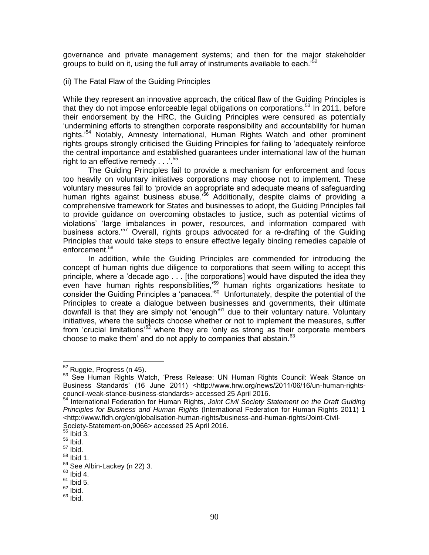governance and private management systems; and then for the major stakeholder groups to build on it, using the full array of instruments available to each.<sup>52</sup>

(ii) The Fatal Flaw of the Guiding Principles

While they represent an innovative approach, the critical flaw of the Guiding Principles is that they do not impose enforceable legal obligations on corporations.<sup>53</sup> In 2011, before their endorsement by the HRC, the Guiding Principles were censured as potentially 'undermining efforts to strengthen corporate responsibility and accountability for human rights.'<sup>54</sup> Notably, Amnesty International, Human Rights Watch and other prominent rights groups strongly criticised the Guiding Principles for failing to 'adequately reinforce the central importance and established guarantees under international law of the human right to an effective remedy . . .'.<sup>55</sup>

The Guiding Principles fail to provide a mechanism for enforcement and focus too heavily on voluntary initiatives corporations may choose not to implement. These voluntary measures fail to 'provide an appropriate and adequate means of safeguarding human rights against business abuse.'<sup>56</sup> Additionally, despite claims of providing a comprehensive framework for States and businesses to adopt, the Guiding Principles fail to provide guidance on overcoming obstacles to justice, such as potential victims of violations' 'large imbalances in power, resources, and information compared with business actors.<sup>57</sup> Overall, rights groups advocated for a re-drafting of the Guiding Principles that would take steps to ensure effective legally binding remedies capable of enforcement.<sup>58</sup>

In addition, while the Guiding Principles are commended for introducing the concept of human rights due diligence to corporations that seem willing to accept this principle, where a 'decade ago . . . [the corporations] would have disputed the idea they even have human rights responsibilities,<sup>59</sup> human rights organizations hesitate to consider the Guiding Principles a 'panacea.'<sup>60</sup> Unfortunately, despite the potential of the Principles to create a dialogue between businesses and governments, their ultimate downfall is that they are simply not 'enough' $61$  due to their voluntary nature. Voluntary initiatives, where the subjects choose whether or not to implement the measures, suffer from 'crucial limitations'<sup>62</sup> where they are 'only as strong as their corporate members choose to make them' and do not apply to companies that abstain.  $63$ 

<sup>52</sup> Ruggie, Progress (n 45).

<sup>53</sup> See Human Rights Watch, 'Press Release: UN Human Rights Council: Weak Stance on Business Standards' (16 June 2011) <http://www.hrw.org/news/2011/06/16/un-human-rightscouncil-weak-stance-business-standards> accessed 25 April 2016.

<sup>54</sup> International Federation for Human Rights, *Joint Civil Society Statement on the Draft Guiding Principles for Business and Human Rights* (International Federation for Human Rights 2011) 1 <http://www.fidh.org/en/globalisation-human-rights/business-and-human-rights/Joint-Civil-Society-Statement-on,9066> accessed 25 April 2016.

 $55$  Ibid  $3.$ 

<sup>56</sup> Ibid.

 $57$  Ibid.

 $58$  Ibid 1.

<sup>59</sup> See Albin-Lackey (n 22) 3.

 $60$  Ibid 4.

 $61$  Ibid 5.

 $62$  Ibid.

 $63$  Ibid.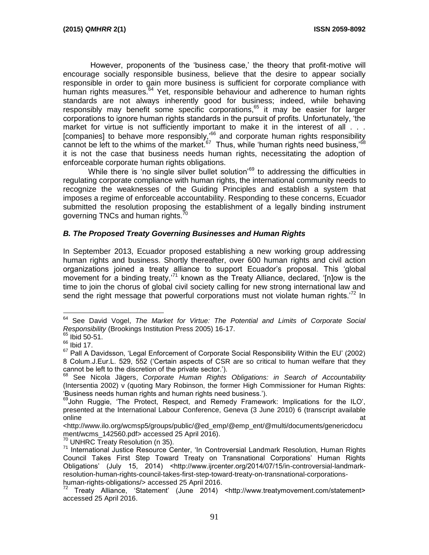However, proponents of the 'business case,' the theory that profit-motive will encourage socially responsible business, believe that the desire to appear socially responsible in order to gain more business is sufficient for corporate compliance with human rights measures.<sup>64</sup> Yet, responsible behaviour and adherence to human rights standards are not always inherently good for business; indeed, while behaving responsibly may benefit some specific corporations, $65$  it may be easier for larger corporations to ignore human rights standards in the pursuit of profits. Unfortunately, 'the market for virtue is not sufficiently important to make it in the interest of all . . . [companies] to behave more responsibly,<sup>66</sup> and corporate human rights responsibility cannot be left to the whims of the market.  $67$  Thus, while 'human rights need business,' $68$ it is not the case that business needs human rights, necessitating the adoption of enforceable corporate human rights obligations.

While there is 'no single silver bullet solution<sup>'69</sup> to addressing the difficulties in regulating corporate compliance with human rights, the international community needs to recognize the weaknesses of the Guiding Principles and establish a system that imposes a regime of enforceable accountability. Responding to these concerns, Ecuador submitted the resolution proposing the establishment of a legally binding instrument governing TNCs and human rights.<sup>7</sup>

## *B. The Proposed Treaty Governing Businesses and Human Rights*

In September 2013, Ecuador proposed establishing a new working group addressing human rights and business. Shortly thereafter, over 600 human rights and civil action organizations joined a treaty alliance to support Ecuador's proposal. This 'global movement for a binding treaty,<sup>71</sup> known as the Treaty Alliance, declared, '[n]ow is the time to join the chorus of global civil society calling for new strong international law and send the right message that powerful corporations must not violate human rights.<sup>72</sup> In

<sup>64</sup> See David Vogel, *The Market for Virtue: The Potential and Limits of Corporate Social Responsibility* (Brookings Institution Press 2005) 16-17.

 $65$  Ibid 50-51.

 $66$  Ibid 17.

 $67$  Pall A Davidsson, 'Legal Enforcement of Corporate Social Responsibility Within the EU' (2002) 8 Colum.J.Eur.L. 529, 552 ('Certain aspects of CSR are so critical to human welfare that they cannot be left to the discretion of the private sector.').

<sup>68</sup> See Nicola Jägers, *Corporate Human Rights Obligations: in Search of Accountability* (Intersentia 2002) v (quoting Mary Robinson, the former High Commissioner for Human Rights: 'Business needs human rights and human rights need business.').

<sup>&</sup>lt;sup>69</sup>John Ruggie, 'The Protect, Respect, and Remedy Framework: Implications for the ILO', presented at the International Labour Conference, Geneva (3 June 2010) 6 (transcript available online at the contract of the contract of the contract of the contract of the contract of the contract of the contract of the contract of the contract of the contract of the contract of the contract of the contract of the

<sup>&</sup>lt;http://www.ilo.org/wcmsp5/groups/public/@ed\_emp/@emp\_ent/@multi/documents/genericdocu ment/wcms 142560.pdf> accessed 25 April 2016).

<sup>70</sup> UNHRC Treaty Resolution (n 35).

<sup>71</sup> International Justice Resource Center, 'In Controversial Landmark Resolution, Human Rights Council Takes First Step Toward Treaty on Transnational Corporations' Human Rights Obligations' (July 15, 2014) <http://www.ijrcenter.org/2014/07/15/in-controversial-landmarkresolution-human-rights-council-takes-first-step-toward-treaty-on-transnational-corporationshuman-rights-obligations/> accessed 25 April 2016.

<sup>72</sup> Treaty Alliance, 'Statement' (June 2014) <http://www.treatymovement.com/statement> accessed 25 April 2016.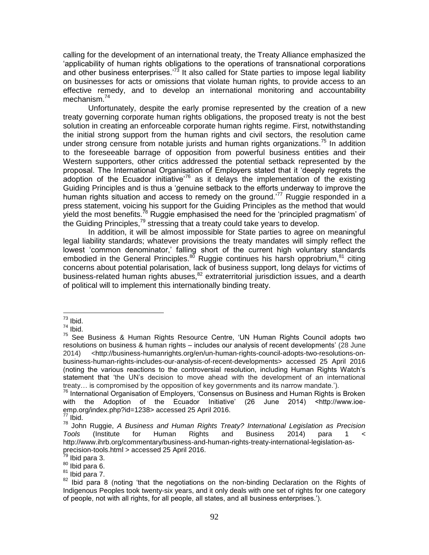calling for the development of an international treaty, the Treaty Alliance emphasized the 'applicability of human rights obligations to the operations of transnational corporations and other business enterprises.<sup>73</sup> It also called for State parties to impose legal liability on businesses for acts or omissions that violate human rights, to provide access to an effective remedy, and to develop an international monitoring and accountability mechanism.<sup>74</sup>

Unfortunately, despite the early promise represented by the creation of a new treaty governing corporate human rights obligations, the proposed treaty is not the best solution in creating an enforceable corporate human rights regime. First, notwithstanding the initial strong support from the human rights and civil sectors, the resolution came under strong censure from notable jurists and human rights organizations.<sup>75</sup> In addition to the foreseeable barrage of opposition from powerful business entities and their Western supporters, other critics addressed the potential setback represented by the proposal. The International Organisation of Employers stated that it 'deeply regrets the adoption of the Ecuador initiative<sup>76</sup> as it delays the implementation of the existing Guiding Principles and is thus a 'genuine setback to the efforts underway to improve the human rights situation and access to remedy on the ground.<sup>77</sup> Ruggie responded in a press statement, voicing his support for the Guiding Principles as the method that would yield the most benefits.<sup>78</sup> Ruggie emphasised the need for the 'principled pragmatism' of the Guiding Principles, $79$  stressing that a treaty could take years to develop.

In addition, it will be almost impossible for State parties to agree on meaningful legal liability standards; whatever provisions the treaty mandates will simply reflect the lowest 'common denominator,' falling short of the current high voluntary standards embodied in the General Principles. $80$  Ruggie continues his harsh opprobrium, $81$  citing concerns about potential polarisation, lack of business support, long delays for victims of business-related human rights abuses, $82$  extraterritorial jurisdiction issues, and a dearth of political will to implement this internationally binding treaty.

 $\overline{a}$  $73$  Ibid.

 $74$  Ibid.

<sup>75</sup> See Business & Human Rights Resource Centre, 'UN Human Rights Council adopts two resolutions on business & human rights – includes our analysis of recent developments' (28 June 2014) <http://business-humanrights.org/en/un-human-rights-council-adopts-two-resolutions-onbusiness-human-rights-includes-our-analysis-of-recent-developments> accessed 25 April 2016 (noting the various reactions to the controversial resolution, including Human Rights Watch's statement that 'the UN's decision to move ahead with the development of an international treaty… is compromised by the opposition of key governments and its narrow mandate.').

<sup>76</sup> International Organisation of Employers, 'Consensus on Business and Human Rights is Broken with the Adoption of the Ecuador Initiative' (26 June 2014) <http://www.ioeemp.org/index.php?id=1238> accessed 25 April 2016.

 $77$  Ibid.

<sup>78</sup> John Ruggie, *A Business and Human Rights Treaty? International Legislation as Precision Tools* (Institute for Human Rights and Business 2014) para 1 < http://www.ihrb.org/commentary/business-and-human-rights-treaty-international-legislation-asprecision-tools.html > accessed 25 April 2016.

<sup>&</sup>lt;sup>79</sup> Ibid para 3.

<sup>80</sup> Ibid para 6.

 $81$  Ibid para 7.

 $82$  Ibid para 8 (noting 'that the negotiations on the non-binding Declaration on the Rights of Indigenous Peoples took twenty-six years, and it only deals with one set of rights for one category of people, not with all rights, for all people, all states, and all business enterprises.').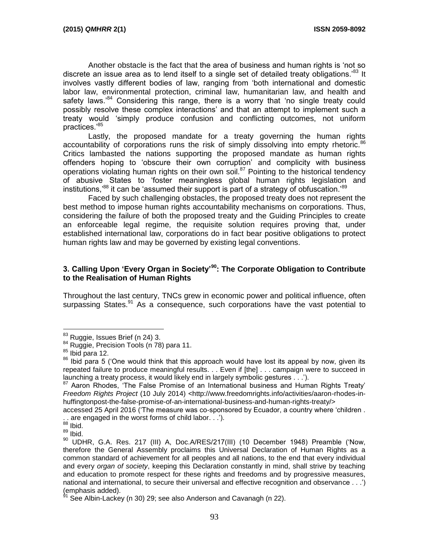Another obstacle is the fact that the area of business and human rights is 'not so discrete an issue area as to lend itself to a single set of detailed treaty obligations.<sup>83</sup> It involves vastly different bodies of law, ranging from 'both international and domestic labor law, environmental protection, criminal law, humanitarian law, and health and safety laws.<sup>84</sup> Considering this range, there is a worry that 'no single treaty could possibly resolve these complex interactions' and that an attempt to implement such a treaty would 'simply produce confusion and conflicting outcomes, not uniform practices.'<sup>85</sup>

Lastly, the proposed mandate for a treaty governing the human rights accountability of corporations runs the risk of simply dissolving into empty rhetoric.<sup>86</sup> Critics lambasted the nations supporting the proposed mandate as human rights offenders hoping to 'obscure their own corruption' and complicity with business operations violating human rights on their own soil.<sup>87</sup> Pointing to the historical tendency of abusive States to 'foster meaningless global human rights legislation and institutions,<sup>88</sup> it can be 'assumed their support is part of a strategy of obfuscation.<sup>89</sup>

Faced by such challenging obstacles, the proposed treaty does not represent the best method to impose human rights accountability mechanisms on corporations. Thus, considering the failure of both the proposed treaty and the Guiding Principles to create an enforceable legal regime, the requisite solution requires proving that, under established international law, corporations do in fact bear positive obligations to protect human rights law and may be governed by existing legal conventions.

#### **3. Calling Upon 'Every Organ in Society'<sup>90</sup>: The Corporate Obligation to Contribute to the Realisation of Human Rights**

Throughout the last century, TNCs grew in economic power and political influence, often surpassing States.<sup>91</sup> As a consequence, such corporations have the vast potential to

accessed 25 April 2016 ('The measure was co-sponsored by Ecuador, a country where 'children . . . are engaged in the worst forms of child labor. . .').

 $\overline{a}$  $^{83}$  Ruggie, Issues Brief (n 24) 3.

<sup>&</sup>lt;sup>84</sup> Ruggie, Precision Tools (n 78) para 11.

<sup>85</sup> Ibid para 12.

<sup>&</sup>lt;sup>86</sup> Ibid para 5 ('One would think that this approach would have lost its appeal by now, given its repeated failure to produce meaningful results. . . Even if [the] . . . campaign were to succeed in launching a treaty process, it would likely end in largely symbolic gestures . . .').

<sup>&</sup>lt;sup>87</sup> Aaron Rhodes, 'The False Promise of an International business and Human Rights Treaty' *Freedom Rights Project* (10 July 2014) <http://www.freedomrights.info/activities/aaron-rhodes-inhuffingtonpost-the-false-promise-of-an-international-business-and-human-rights-treaty/>

 $88$  Ibid.

<sup>89</sup> Ibid.

<sup>&</sup>lt;sup>90</sup> UDHR, G.A. Res. 217 (III) A, Doc.A/RES/217(III) (10 December 1948) Preamble ('Now, therefore the General Assembly proclaims this Universal Declaration of Human Rights as a common standard of achievement for all peoples and all nations, to the end that every individual and every *organ of society*, keeping this Declaration constantly in mind, shall strive by teaching and education to promote respect for these rights and freedoms and by progressive measures, national and international, to secure their universal and effective recognition and observance . . .') (emphasis added).

See Albin-Lackey (n 30) 29; see also Anderson and Cavanagh (n 22).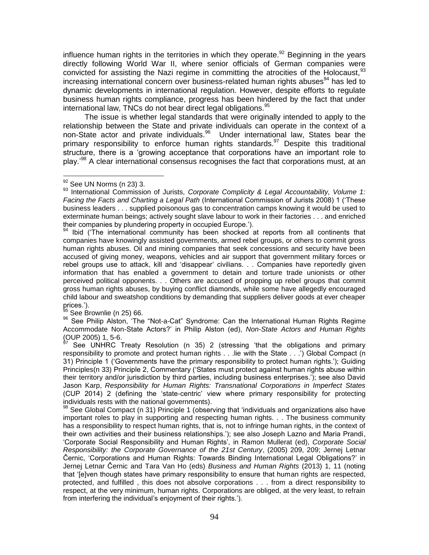influence human rights in the territories in which they operate.<sup>92</sup> Beginning in the years directly following World War II, where senior officials of German companies were convicted for assisting the Nazi regime in committing the atrocities of the Holocaust,  $93$  $increasing$  increasing international concern over business-related human rights abuses $94$  has led to dynamic developments in international regulation. However, despite efforts to regulate business human rights compliance, progress has been hindered by the fact that under international law, TNCs do not bear direct legal obligations.<sup>95</sup>

The issue is whether legal standards that were originally intended to apply to the relationship between the State and private individuals can operate in the context of a non-State actor and private individuals.<sup>96</sup> Under international law, States bear the primary responsibility to enforce human rights standards.<sup>97</sup> Despite this traditional structure, there is a 'growing acceptance that corporations have an important role to play.<sup>'98</sup> A clear international consensus recognises the fact that corporations must, at an

 $\overline{a}$ 

Ibid ('The international community has been shocked at reports from all continents that companies have knowingly assisted governments, armed rebel groups, or others to commit gross human rights abuses. Oil and mining companies that seek concessions and security have been accused of giving money, weapons, vehicles and air support that government military forces or rebel groups use to attack, kill and 'disappear' civilians. . . Companies have reportedly given information that has enabled a government to detain and torture trade unionists or other perceived political opponents. . . Others are accused of propping up rebel groups that commit gross human rights abuses, by buying conflict diamonds, while some have allegedly encouraged child labour and sweatshop conditions by demanding that suppliers deliver goods at ever cheaper prices.').

 $^{95}$  See Brownlie (n 25) 66.

96 See Philip Alston, 'The "Not-a-Cat" Syndrome: Can the International Human Rights Regime Accommodate Non-State Actors?' in Philip Alston (ed), *Non-State Actors and Human Rights*  $(OUP 2005)$  1, 5-6.

See UNHRC Treaty Resolution (n 35) 2 (stressing 'that the obligations and primary responsibility to promote and protect human rights . . .lie with the State . . .') Global Compact (n 31) Principle 1 ('Governments have the primary responsibility to protect human rights.'); Guiding Principles(n 33) Principle 2, Commentary ('States must protect against human rights abuse within their territory and/or jurisdiction by third parties, including business enterprises.'); see also David Jason Karp, *Responsibility for Human Rights: Transnational Corporations in Imperfect States* (CUP 2014) 2 (defining the 'state-centric' view where primary responsibility for protecting individuals rests with the national governments).

 $98$  See Global Compact (n 31) Principle 1 (observing that 'individuals and organizations also have important roles to play in supporting and respecting human rights. . . The business community has a responsibility to respect human rights, that is, not to infringe human rights, in the context of their own activities and their business relationships.'); see also Joseph Lazno and Maria Prandi, 'Corporate Social Responsibility and Human Rights', in Ramon Mullerat (ed), *Corporate Social Responsibility: the Corporate Governance of the 21st Century*, (2005) 209, 209; Jernej Letnar Černic, 'Corporations and Human Rights: Towards Binding International Legal Obligations?' in Jernej Letnar Černic and Tara Van Ho (eds) *Business and Human Rights* (2013) 1, 11 (noting that '[e]ven though states have primary responsibility to ensure that human rights are respected, protected, and fulfilled , this does not absolve corporations . . . from a direct responsibility to respect, at the very minimum, human rights. Corporations are obliged, at the very least, to refrain from interfering the individual's enjoyment of their rights.').

 $92$  See UN Norms (n 23) 3.

<sup>93</sup> International Commission of Jurists, *Corporate Complicity & Legal Accountability, Volume 1: Facing the Facts and Charting a Legal Path* (International Commission of Jurists 2008) 1 ('These business leaders . . . supplied poisonous gas to concentration camps knowing it would be used to exterminate human beings; actively sought slave labour to work in their factories . . . and enriched their companies by plundering property in occupied Europe.').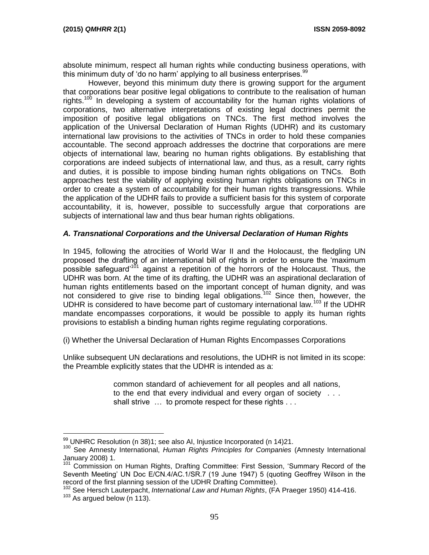$\overline{a}$ 

absolute minimum, respect all human rights while conducting business operations, with this minimum duty of 'do no harm' applying to all business enterprises.<sup>99</sup>

However, beyond this minimum duty there is growing support for the argument that corporations bear positive legal obligations to contribute to the realisation of human rights.<sup>100</sup> In developing a system of accountability for the human rights violations of corporations, two alternative interpretations of existing legal doctrines permit the imposition of positive legal obligations on TNCs. The first method involves the application of the Universal Declaration of Human Rights (UDHR) and its customary international law provisions to the activities of TNCs in order to hold these companies accountable. The second approach addresses the doctrine that corporations are mere objects of international law, bearing no human rights obligations. By establishing that corporations are indeed subjects of international law, and thus, as a result, carry rights and duties, it is possible to impose binding human rights obligations on TNCs. Both approaches test the viability of applying existing human rights obligations on TNCs in order to create a system of accountability for their human rights transgressions. While the application of the UDHR fails to provide a sufficient basis for this system of corporate accountability, it is, however, possible to successfully argue that corporations are subjects of international law and thus bear human rights obligations.

## *A. Transnational Corporations and the Universal Declaration of Human Rights*

In 1945, following the atrocities of World War II and the Holocaust, the fledgling UN proposed the drafting of an international bill of rights in order to ensure the 'maximum possible safeguard<sup>'101</sup> against a repetition of the horrors of the Holocaust. Thus, the UDHR was born. At the time of its drafting, the UDHR was an aspirational declaration of human rights entitlements based on the important concept of human dignity, and was not considered to give rise to binding legal obligations.<sup>102</sup> Since then, however, the UDHR is considered to have become part of customary international law.<sup>103</sup> If the UDHR mandate encompasses corporations, it would be possible to apply its human rights provisions to establish a binding human rights regime regulating corporations.

(i) Whether the Universal Declaration of Human Rights Encompasses Corporations

Unlike subsequent UN declarations and resolutions, the UDHR is not limited in its scope: the Preamble explicitly states that the UDHR is intended as a:

> common standard of achievement for all peoples and all nations, to the end that every individual and every organ of society . . . shall strive ... to promote respect for these rights ...

 $99$  UNHRC Resolution (n 38)1; see also AI, Injustice Incorporated (n 14)21.

<sup>100</sup> See Amnesty International, *Human Rights Principles for Companies* (Amnesty International January 2008) 1.

<sup>&</sup>lt;sup>101</sup> Commission on Human Rights, Drafting Committee: First Session, 'Summary Record of the Seventh Meeting' UN Doc E/CN.4/AC.1/SR.7 (19 June 1947) 5 (quoting Geoffrey Wilson in the record of the first planning session of the UDHR Drafting Committee).

<sup>102</sup> See Hersch Lauterpacht, *International Law and Human Rights*, (FA Praeger 1950) 414-416. <sup>103</sup> As argued below (n 113).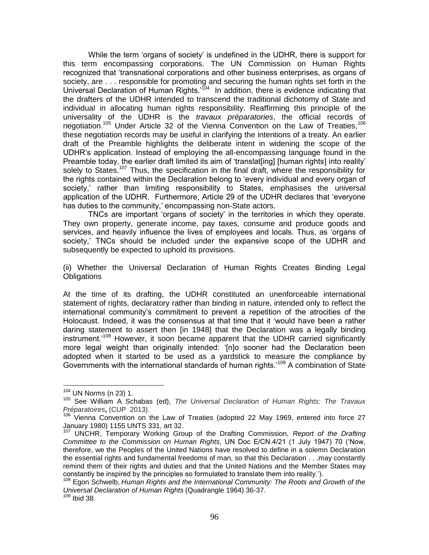While the term 'organs of society' is undefined in the UDHR, there is support for this term encompassing corporations. The UN Commission on Human Rights recognized that 'transnational corporations and other business enterprises, as organs of society, are . . . responsible for promoting and securing the human rights set forth in the Universal Declaration of Human Rights.'<sup>104</sup> In addition, there is evidence indicating that the drafters of the UDHR intended to transcend the traditional dichotomy of State and individual in allocating human rights responsibility. Reaffirming this principle of the universality of the UDHR is the *travaux préparatories*, the official records of negotiation.<sup>105</sup> Under Article 32 of the Vienna Convention on the Law of Treaties,<sup>106</sup> these negotiation records may be useful in clarifying the intentions of a treaty. An earlier draft of the Preamble highlights the deliberate intent in widening the scope of the UDHR's application. Instead of employing the all-encompassing language found in the Preamble today, the earlier draft limited its aim of 'translat[ing] [human rights] into reality' solely to States.<sup>107</sup> Thus, the specification in the final draft, where the responsibility for the rights contained within the Declaration belong to 'every individual and every organ of society,' rather than limiting responsibility to States, emphasises the universal application of the UDHR. Furthermore, Article 29 of the UDHR declares that 'everyone has duties to the community,' encompassing non-State actors.

TNCs are important 'organs of society' in the territories in which they operate. They own property, generate income, pay taxes, consume and produce goods and services, and heavily influence the lives of employees and locals. Thus, as 'organs of society,' TNCs should be included under the expansive scope of the UDHR and subsequently be expected to uphold its provisions.

(ii) Whether the Universal Declaration of Human Rights Creates Binding Legal **Obligations** 

At the time of its drafting, the UDHR constituted an unenforceable international statement of rights, declaratory rather than binding in nature, intended only to reflect the international community's commitment to prevent a repetition of the atrocities of the Holocaust. Indeed, it was the consensus at that time that it 'would have been a rather daring statement to assert then [in 1948] that the Declaration was a legally binding instrument.<sup>108</sup> However, it soon became apparent that the UDHR carried significantly more legal weight than originally intended: '[n]o sooner had the Declaration been adopted when it started to be used as a yardstick to measure the compliance by Governments with the international standards of human rights.<sup>109</sup> A combination of State

<sup>104</sup> UN Norms (n 23) 1.

<sup>&</sup>lt;sup>105</sup> See William A Schabas (ed), *The Universal Declaration of Human Rights: The Travaux Préparatoires***,** (CUP 2013).

 $106$  Vienna Convention on the Law of Treaties (adopted 22 May 1969, entered into force 27 January 1980) 1155 UNTS 331, art 32.

<sup>107</sup> UNCHR, Temporary Working Group of the Drafting Commission, *Report of the Drafting Committee to the Commission on Human Rights*, UN Doc E/CN.4/21 (1 July 1947) 70 ('Now, therefore, we the Peoples of the United Nations have resolved to define in a solemn Declaration the essential rights and fundamental freedoms of man, so that this Declaration . . .may constantly remind them of their rights and duties and that the United Nations and the Member States may constantly be inspired by the principles so formulated to translate them into reality.').

<sup>108</sup> Egon Schwelb, *Human Rights and the International Community: The Roots and Growth of the Universal Declaration of Human Rights* (Quadrangle 1964) 36-37.

 $109$  Ibid 38.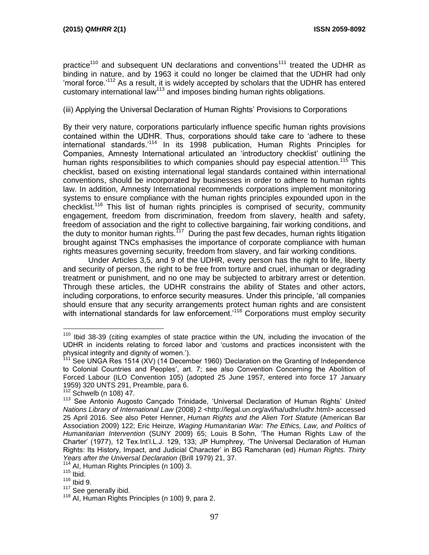practice<sup>110</sup> and subsequent UN declarations and conventions<sup>111</sup> treated the UDHR as binding in nature, and by 1963 it could no longer be claimed that the UDHR had only 'moral force.'<sup>112</sup> As a result, it is widely accepted by scholars that the UDHR has entered customary international law<sup>113</sup> and imposes binding human rights obligations.

(iii) Applying the Universal Declaration of Human Rights' Provisions to Corporations

By their very nature, corporations particularly influence specific human rights provisions contained within the UDHR. Thus, corporations should take care to 'adhere to these international standards.'<sup>114</sup> In its 1998 publication, Human Rights Principles for Companies, Amnesty International articulated an 'introductory checklist' outlining the human rights responsibilities to which companies should pay especial attention.<sup>115</sup> This checklist, based on existing international legal standards contained within international conventions, should be incorporated by businesses in order to adhere to human rights law. In addition, Amnesty International recommends corporations implement monitoring systems to ensure compliance with the human rights principles expounded upon in the checklist.<sup>116</sup> This list of human rights principles is comprised of security, community engagement, freedom from discrimination, freedom from slavery, health and safety, freedom of association and the right to collective bargaining, fair working conditions, and the duty to monitor human rights.<sup>117</sup> During the past few decades, human rights litigation brought against TNCs emphasises the importance of corporate compliance with human rights measures governing security, freedom from slavery, and fair working conditions.

Under Articles 3,5, and 9 of the UDHR, every person has the right to life, liberty and security of person, the right to be free from torture and cruel, inhuman or degrading treatment or punishment, and no one may be subjected to arbitrary arrest or detention. Through these articles, the UDHR constrains the ability of States and other actors, including corporations, to enforce security measures. Under this principle, 'all companies should ensure that any security arrangements protect human rights and are consistent with international standards for law enforcement.<sup>118</sup> Corporations must employ security

<sup>&</sup>lt;sup>110</sup> Ibid 38-39 (citing examples of state practice within the UN, including the invocation of the UDHR in incidents relating to forced labor and 'customs and practices inconsistent with the physical integrity and dignity of women.').

 $111$  See UNGA Res 1514 (XV) (14 December 1960) 'Declaration on the Granting of Independence to Colonial Countries and Peoples', art. 7; see also Convention Concerning the Abolition of Forced Labour (ILO Convention 105) (adopted 25 June 1957, entered into force 17 January 1959) 320 UNTS 291, Preamble, para 6.

Schwelb (n 108) 47.

<sup>113</sup> See Antonio Augosto Cançado Trinidade, 'Universal Declaration of Human Rights' *United*  Nations Library of International Law (2008) 2 <http://legal.un.org/avl/ha/udhr/udhr.html> accessed 25 April 2016. See also Peter Henner, *Human Rights and the Alien Tort Statute* (American Bar Association 2009) 122; Eric Heinze, *Waging Humanitarian War: The Ethics, Law, and Politics of Humanitarian Intervention* (SUNY 2009) 65; Louis B Sohn, 'The Human Rights Law of the Charter' (1977), 12 Tex.Int'l.L.J. 129, 133; JP Humphrey, 'The Universal Declaration of Human Rights: Its History, Impact, and Judicial Character' in BG Ramcharan (ed) *Human Rights. Thirty Years after the Universal Declaration* (Brill 1979) 21, 37.

<sup>&</sup>lt;sup>114</sup> AI, Human Rights Principles (n 100) 3.

 $115$  Ibid.

 $116$  Ibid 9.

<sup>&</sup>lt;sup>117</sup> See generally ibid.

<sup>118</sup> AI, Human Rights Principles (n 100) 9, para 2.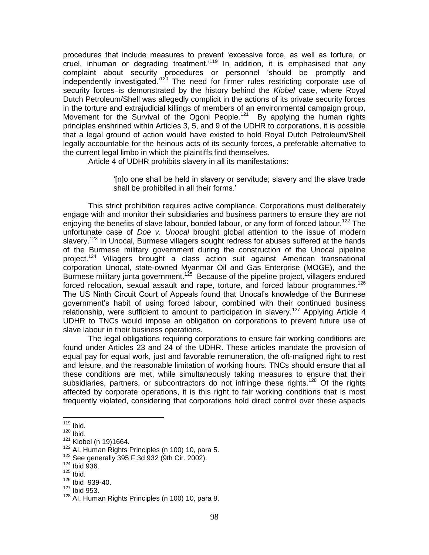procedures that include measures to prevent 'excessive force, as well as torture, or cruel, inhuman or degrading treatment.<sup>119</sup> In addition, it is emphasised that any complaint about security procedures or personnel 'should be promptly and independently investigated.'<sup>120</sup> The need for firmer rules restricting corporate use of security forces-is demonstrated by the history behind the *Kiobel* case, where Royal Dutch Petroleum/Shell was allegedly complicit in the actions of its private security forces in the torture and extrajudicial killings of members of an environmental campaign group, Movement for the Survival of the Ogoni People.<sup>121</sup> By applying the human rights principles enshrined within Articles 3, 5, and 9 of the UDHR to corporations, it is possible that a legal ground of action would have existed to hold Royal Dutch Petroleum/Shell legally accountable for the heinous acts of its security forces, a preferable alternative to the current legal limbo in which the plaintiffs find themselves.

Article 4 of UDHR prohibits slavery in all its manifestations:

'[n]o one shall be held in slavery or servitude; slavery and the slave trade shall be prohibited in all their forms.'

This strict prohibition requires active compliance. Corporations must deliberately engage with and monitor their subsidiaries and business partners to ensure they are not enjoying the benefits of slave labour, bonded labour, or any form of forced labour.<sup>122</sup> The unfortunate case of *Doe v. Unocal* brought global attention to the issue of modern slavery.<sup>123</sup> In Unocal, Burmese villagers sought redress for abuses suffered at the hands of the Burmese military government during the construction of the Unocal pipeline project.<sup>124</sup> Villagers brought a class action suit against American transnational corporation Unocal, state-owned Myanmar Oil and Gas Enterprise (MOGE), and the Burmese military junta government.<sup>125</sup> Because of the pipeline project, villagers endured forced relocation, sexual assault and rape, torture, and forced labour programmes.<sup>126</sup> The US Ninth Circuit Court of Appeals found that Unocal's knowledge of the Burmese government's habit of using forced labour, combined with their continued business relationship, were sufficient to amount to participation in slavery.<sup>127</sup> Applying Article 4 UDHR to TNCs would impose an obligation on corporations to prevent future use of slave labour in their business operations.

The legal obligations requiring corporations to ensure fair working conditions are found under Articles 23 and 24 of the UDHR. These articles mandate the provision of equal pay for equal work, just and favorable remuneration, the oft-maligned right to rest and leisure, and the reasonable limitation of working hours. TNCs should ensure that all these conditions are met, while simultaneously taking measures to ensure that their subsidiaries, partners, or subcontractors do not infringe these rights.<sup>128</sup> Of the rights affected by corporate operations, it is this right to fair working conditions that is most frequently violated, considering that corporations hold direct control over these aspects

 $\overline{a}$ <sup>119</sup> Ibid.

 $120$  Ibid.

 $121$  Kiobel (n 19)1664.

 $122$  AI, Human Rights Principles (n 100) 10, para 5.

 $123$  See generally 395 F.3d 932 (9th Cir. 2002).

 $124$  Ibid 936.

 $125$  Ibid.

<sup>126</sup> Ibid 939-40.

 $127$  Ibid 953.

<sup>128</sup> AI, Human Rights Principles (n 100) 10, para 8.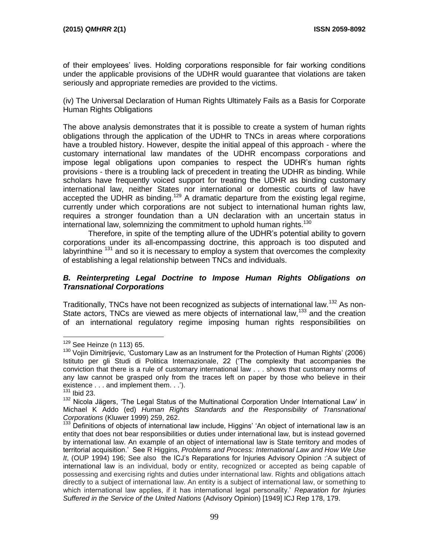of their employees' lives. Holding corporations responsible for fair working conditions under the applicable provisions of the UDHR would guarantee that violations are taken seriously and appropriate remedies are provided to the victims.

(iv) The Universal Declaration of Human Rights Ultimately Fails as a Basis for Corporate Human Rights Obligations

The above analysis demonstrates that it is possible to create a system of human rights obligations through the application of the UDHR to TNCs in areas where corporations have a troubled history. However, despite the initial appeal of this approach - where the customary international law mandates of the UDHR encompass corporations and impose legal obligations upon companies to respect the UDHR's human rights provisions - there is a troubling lack of precedent in treating the UDHR as binding. While scholars have frequently voiced support for treating the UDHR as binding customary international law, neither States nor international or domestic courts of law have accepted the UDHR as binding.<sup>129</sup> A dramatic departure from the existing legal regime, currently under which corporations are not subject to international human rights law, requires a stronger foundation than a UN declaration with an uncertain status in international law, solemnizing the commitment to uphold human rights.<sup>130</sup>

Therefore, in spite of the tempting allure of the UDHR's potential ability to govern corporations under its all-encompassing doctrine, this approach is too disputed and labyrinthine  $131$  and so it is necessary to employ a system that overcomes the complexity of establishing a legal relationship between TNCs and individuals.

## *B. Reinterpreting Legal Doctrine to Impose Human Rights Obligations on Transnational Corporations*

Traditionally, TNCs have not been recognized as subjects of international law.<sup>132</sup> As non-State actors, TNCs are viewed as mere objects of international law,<sup>133</sup> and the creation of an international regulatory regime imposing human rights responsibilities on

<sup>&</sup>lt;sup>129</sup> See Heinze (n 113) 65.

 $130$  Vojin Dimitrijevic, 'Customary Law as an Instrument for the Protection of Human Rights' (2006) Istituto per gli Studi di Politica Internazionale, 22 ('The complexity that accompanies the conviction that there is a rule of customary international law . . . shows that customary norms of any law cannot be grasped only from the traces left on paper by those who believe in their existence . . . and implement them. . .').

**Ibid 23.** 

<sup>&</sup>lt;sup>132</sup> Nicola Jägers, 'The Legal Status of the Multinational Corporation Under International Law' in Michael K Addo (ed) *Human Rights Standards and the Responsibility of Transnational Corporations* (Kluwer 1999) 259, 262.

<sup>133</sup> Definitions of objects of international law include, Higgins' 'An object of international law is an entity that does not bear responsibilities or duties under international law, but is instead governed by international law. An example of an object of international law is State territory and modes of territorial acquisition.' See R Higgins, *Problems and Process: International Law and How We Use It*, (OUP 1994) 196; See also the ICJ's Reparations for Injuries Advisory Opinion :'A subject of international law is an individual, body or entity, recognized or accepted as being capable of possessing and exercising rights and duties under international law. Rights and obligations attach directly to a subject of international law. An entity is a subject of international law, or something to which international law applies, if it has international legal personality.' *Reparation for Injuries Suffered in the Service of the United Nations* (Advisory Opinion) [1949] ICJ Rep 178, 179.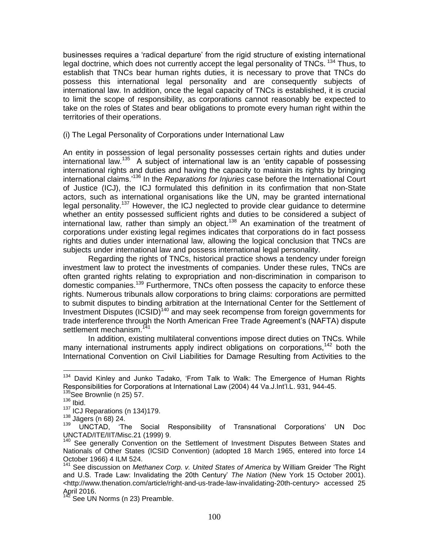businesses requires a 'radical departure' from the rigid structure of existing international legal doctrine, which does not currently accept the legal personality of TNCs. <sup>134</sup> Thus, to establish that TNCs bear human rights duties, it is necessary to prove that TNCs do possess this international legal personality and are consequently subjects of international law. In addition, once the legal capacity of TNCs is established, it is crucial to limit the scope of responsibility, as corporations cannot reasonably be expected to take on the roles of States and bear obligations to promote every human right within the territories of their operations.

(i) The Legal Personality of Corporations under International Law

An entity in possession of legal personality possesses certain rights and duties under international law.<sup>135</sup> A subject of international law is an 'entity capable of possessing international rights and duties and having the capacity to maintain its rights by bringing international claims.'<sup>136</sup> In the *Reparations for Injuries* case before the International Court of Justice (ICJ), the ICJ formulated this definition in its confirmation that non-State actors, such as international organisations like the UN, may be granted international legal personality.<sup>137</sup> However, the ICJ neglected to provide clear guidance to determine whether an entity possessed sufficient rights and duties to be considered a subject of international law, rather than simply an object.<sup>138</sup> An examination of the treatment of corporations under existing legal regimes indicates that corporations do in fact possess rights and duties under international law, allowing the logical conclusion that TNCs are subjects under international law and possess international legal personality.

Regarding the rights of TNCs, historical practice shows a tendency under foreign investment law to protect the investments of companies. Under these rules, TNCs are often granted rights relating to expropriation and non-discrimination in comparison to domestic companies.<sup>139</sup> Furthermore, TNCs often possess the capacity to enforce these rights. Numerous tribunals allow corporations to bring claims: corporations are permitted to submit disputes to binding arbitration at the International Center for the Settlement of Investment Disputes (ICSID)<sup>140</sup> and may seek recompense from foreign governments for trade interference through the North American Free Trade Agreement's (NAFTA) dispute settlement mechanism.<sup>141</sup>

In addition, existing multilateral conventions impose direct duties on TNCs. While many international instruments apply indirect obligations on corporations,<sup>142</sup> both the International Convention on Civil Liabilities for Damage Resulting from Activities to the

<sup>&</sup>lt;sup>134</sup> David Kinley and Junko Tadako, 'From Talk to Walk: The Emergence of Human Rights Responsibilities for Corporations at International Law (2004) 44 Va.J.Int'l.L. 931, 944-45.

<sup>&</sup>lt;sup>135</sup>See Brownlie (n 25) 57.

 $136$  Ibid.

 $137$  ICJ Reparations (n 134)179.

 $^{138}$  Jägers (n 68) 24.<br> $^{139}$  LINCTAD <sup>17</sup>

<sup>139</sup> UNCTAD, 'The Social Responsibility of Transnational Corporations' UN Doc UNCTAD/ITE/IIT/Misc.21 (1999) 9.

<sup>&</sup>lt;sup>140</sup> See generally Convention on the Settlement of Investment Disputes Between States and Nationals of Other States (ICSID Convention) (adopted 18 March 1965, entered into force 14 October 1966) 4 ILM 524.

<sup>141</sup> See discussion on *Methanex Corp. v. United States of America* by William Greider 'The Right and U.S. Trade Law: Invalidating the 20th Century' *The Nation* (New York 15 October 2001). <http://www.thenation.com/article/right-and-us-trade-law-invalidating-20th-century> accessed 25 April 2016.

See UN Norms (n 23) Preamble.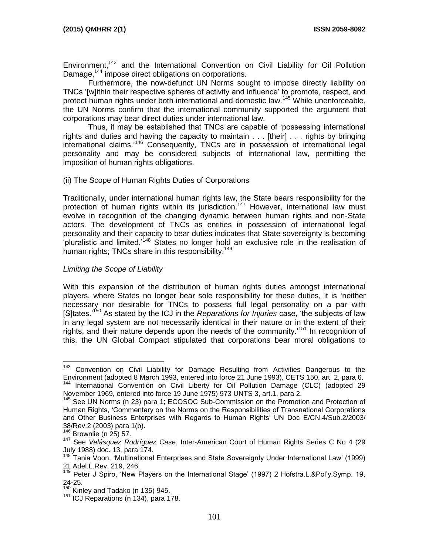Environment,<sup>143</sup> and the International Convention on Civil Liability for Oil Pollution Damage,<sup>144</sup> impose direct obligations on corporations.

Furthermore, the now-defunct UN Norms sought to impose directly liability on TNCs '[w]ithin their respective spheres of activity and influence' to promote, respect, and protect human rights under both international and domestic law.<sup>145</sup> While unenforceable, the UN Norms confirm that the international community supported the argument that corporations may bear direct duties under international law.

Thus, it may be established that TNCs are capable of 'possessing international rights and duties and having the capacity to maintain . . . [their] . . . rights by bringing international claims.'<sup>146</sup> Consequently, TNCs are in possession of international legal personality and may be considered subjects of international law, permitting the imposition of human rights obligations.

#### (ii) The Scope of Human Rights Duties of Corporations

Traditionally, under international human rights law, the State bears responsibility for the protection of human rights within its jurisdiction.<sup>147</sup> However, international law must evolve in recognition of the changing dynamic between human rights and non-State actors. The development of TNCs as entities in possession of international legal personality and their capacity to bear duties indicates that State sovereignty is becoming  $\overline{a}$  pluralistic and limited.<sup> $148$ </sup> States no longer hold an exclusive role in the realisation of human rights; TNCs share in this responsibility.<sup>149</sup>

## *Limiting the Scope of Liability*

With this expansion of the distribution of human rights duties amongst international players, where States no longer bear sole responsibility for these duties, it is 'neither necessary nor desirable for TNCs to possess full legal personality on a par with [S]tates.'<sup>150</sup> As stated by the ICJ in the *Reparations for Injuries* case, 'the subjects of law in any legal system are not necessarily identical in their nature or in the extent of their rights, and their nature depends upon the needs of the community.<sup>151</sup> In recognition of this, the UN Global Compact stipulated that corporations bear moral obligations to

<sup>&</sup>lt;sup>143</sup> Convention on Civil Liability for Damage Resulting from Activities Dangerous to the Environment (adopted 8 March 1993, entered into force 21 June 1993), CETS 150, art. 2, para 6. <sup>144</sup> International Convention on Civil Liberty for Oil Pollution Damage (CLC) (adopted 29 November 1969, entered into force 19 June 1975) 973 UNTS 3, art.1, para 2.

<sup>&</sup>lt;sup>145</sup> See UN Norms (n 23) para 1; ECOSOC Sub-Commission on the Promotion and Protection of Human Rights, 'Commentary on the Norms on the Responsibilities of Transnational Corporations and Other Business Enterprises with Regards to Human Rights' UN Doc E/CN.4/Sub.2/2003/ 38/Rev.2 (2003) para 1(b).

 $146$  Brownlie (n 25) 57.

<sup>147</sup> See *Velásquez Rodríguez Case*, Inter-American Court of Human Rights Series C No 4 (29 July 1988) doc. 13, para 174.

<sup>&</sup>lt;sup>148</sup> Tania Voon, 'Multinational Enterprises and State Sovereignty Under International Law' (1999) 21 Adel.L.Rev. 219, 246.

<sup>&</sup>lt;sup>149</sup> Peter J Spiro, 'New Players on the International Stage' (1997) 2 Hofstra.L.&Pol'y.Symp. 19, 24-25.

 $\frac{150}{150}$  Kinley and Tadako (n 135) 945.

 $151$  ICJ Reparations (n 134), para 178.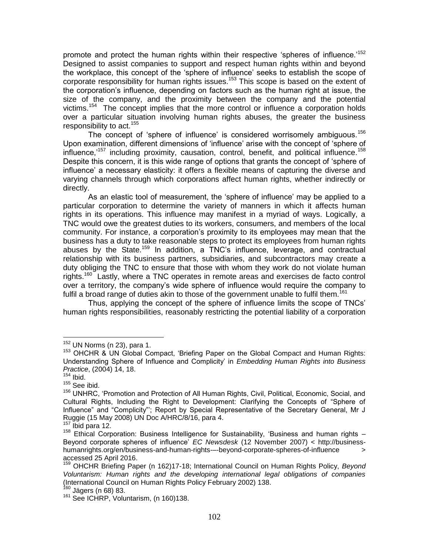promote and protect the human rights within their respective 'spheres of influence.<sup>152</sup> Designed to assist companies to support and respect human rights within and beyond the workplace, this concept of the 'sphere of influence' seeks to establish the scope of corporate responsibility for human rights issues.<sup>153</sup> This scope is based on the extent of the corporation's influence, depending on factors such as the human right at issue, the size of the company, and the proximity between the company and the potential victims.<sup>154</sup> The concept implies that the more control or influence a corporation holds over a particular situation involving human rights abuses, the greater the business responsibility to act.<sup>155</sup>

The concept of 'sphere of influence' is considered worrisomely ambiguous.<sup>156</sup> Upon examination, different dimensions of 'influence' arise with the concept of 'sphere of influence, $157$  including proximity, causation, control, benefit, and political influence.<sup>158</sup> Despite this concern, it is this wide range of options that grants the concept of 'sphere of influence' a necessary elasticity: it offers a flexible means of capturing the diverse and varying channels through which corporations affect human rights, whether indirectly or directly.

As an elastic tool of measurement, the 'sphere of influence' may be applied to a particular corporation to determine the variety of manners in which it affects human rights in its operations. This influence may manifest in a myriad of ways. Logically, a TNC would owe the greatest duties to its workers, consumers, and members of the local community. For instance, a corporation's proximity to its employees may mean that the business has a duty to take reasonable steps to protect its employees from human rights abuses by the State.<sup>159</sup> In addition, a TNC's influence, leverage, and contractual relationship with its business partners, subsidiaries, and subcontractors may create a duty obliging the TNC to ensure that those with whom they work do not violate human rights.<sup>160</sup> Lastly, where a TNC operates in remote areas and exercises de facto control over a territory, the company's wide sphere of influence would require the company to fulfil a broad range of duties akin to those of the government unable to fulfil them.<sup>161</sup>

Thus, applying the concept of the sphere of influence limits the scope of TNCs' human rights responsibilities, reasonably restricting the potential liability of a corporation

 $152$  UN Norms (n 23), para 1.

<sup>&</sup>lt;sup>153</sup> OHCHR & UN Global Compact, 'Briefing Paper on the Global Compact and Human Rights: Understanding Sphere of Influence and Complicity' in *Embedding Human Rights into Business Practice*, (2004) 14, 18.

 $154$  Ibid.

 $155$  See ibid.

<sup>156</sup> UNHRC, 'Promotion and Protection of All Human Rights, Civil, Political, Economic, Social, and Cultural Rights, Including the Right to Development: Clarifying the Concepts of "Sphere of Influence" and "Complicity"'; Report by Special Representative of the Secretary General, Mr J Ruggie (15 May 2008) UN Doc A/HRC/8/16, para 4.

Ibid para 12.

<sup>&</sup>lt;sup>158</sup> Ethical Corporation: Business Intelligence for Sustainability, 'Business and human rights – Beyond corporate spheres of influence' *EC Newsdesk* (12 November 2007) < http://businesshumanrights.org/en/business-and-human-rights-–-beyond-corporate-spheres-of-influence > accessed 25 April 2016.

<sup>159</sup> OHCHR Briefing Paper (n 162)17-18; International Council on Human Rights Policy, *Beyond Voluntarism: Human rights and the developing international legal obligations of companies* (International Council on Human Rights Policy February 2002) 138.

<sup>&</sup>lt;sup>160</sup> Jägers (n 68) 83.

<sup>&</sup>lt;sup>161</sup> See ICHRP, Voluntarism, (n 160)138.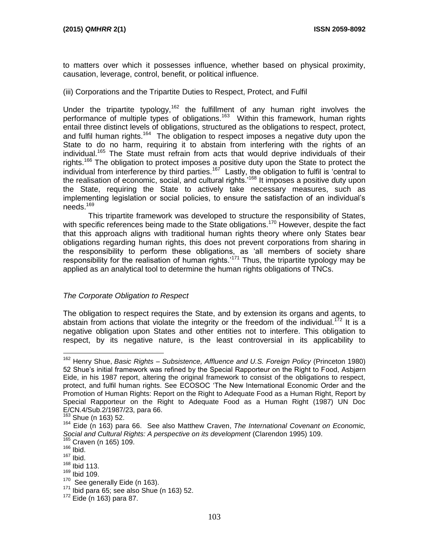to matters over which it possesses influence, whether based on physical proximity, causation, leverage, control, benefit, or political influence.

#### (iii) Corporations and the Tripartite Duties to Respect, Protect, and Fulfil

Under the tripartite typology,<sup>162</sup> the fulfillment of any human right involves the performance of multiple types of obligations.<sup>163</sup> Within this framework, human rights entail three distinct levels of obligations, structured as the obligations to respect, protect, and fulfil human rights.<sup>164</sup> The obligation to respect imposes a negative duty upon the State to do no harm, requiring it to abstain from interfering with the rights of an individual.<sup>165</sup> The State must refrain from acts that would deprive individuals of their rights.<sup>166</sup> The obligation to protect imposes a positive duty upon the State to protect the individual from interference by third parties.<sup>167</sup> Lastly, the obligation to fulfil is 'central to the realisation of economic, social, and cultural rights.<sup>168</sup> It imposes a positive duty upon the State, requiring the State to actively take necessary measures, such as implementing legislation or social policies, to ensure the satisfaction of an individual's  $needs.<sup>169</sup>$ 

This tripartite framework was developed to structure the responsibility of States, with specific references being made to the State obligations.<sup>170</sup> However, despite the fact that this approach aligns with traditional human rights theory where only States bear obligations regarding human rights, this does not prevent corporations from sharing in the responsibility to perform these obligations, as 'all members of society share responsibility for the realisation of human rights.<sup> $171$ </sup> Thus, the tripartite typology may be applied as an analytical tool to determine the human rights obligations of TNCs.

#### *The Corporate Obligation to Respect*

The obligation to respect requires the State, and by extension its organs and agents, to abstain from actions that violate the integrity or the freedom of the individual.<sup>172</sup> It is a negative obligation upon States and other entities not to interfere. This obligation to respect, by its negative nature, is the least controversial in its applicability to

<sup>162</sup> Henry Shue, *Basic Rights – Subsistence, Affluence and U.S. Foreign Policy* (Princeton 1980) 52 Shue's initial framework was refined by the Special Rapporteur on the Right to Food, Asbjørn Eide, in his 1987 report, altering the original framework to consist of the obligations to respect, protect, and fulfil human rights. See ECOSOC 'The New International Economic Order and the Promotion of Human Rights: Report on the Right to Adequate Food as a Human Right, Report by Special Rapporteur on the Right to Adequate Food as a Human Right (1987) UN Doc E/CN.4/Sub.2/1987/23, para 66.

<sup>163</sup> Shue (n 163) 52.

<sup>164</sup> Eide (n 163) para 66. See also Matthew Craven, *The International Covenant on Economic, Social and Cultural Rights: A perspective on its development* (Clarendon 1995) 109. <sup>165</sup> Craven (n 165) 109.

 $166$  Ibid.

 $167$  Ibid.

<sup>168</sup> Ibid 113.  $169$  Ibid 109.

 $170$  See generally Eide (n 163).

 $171$  Ibid para 65; see also Shue (n 163) 52.

<sup>172</sup> Eide (n 163) para 87.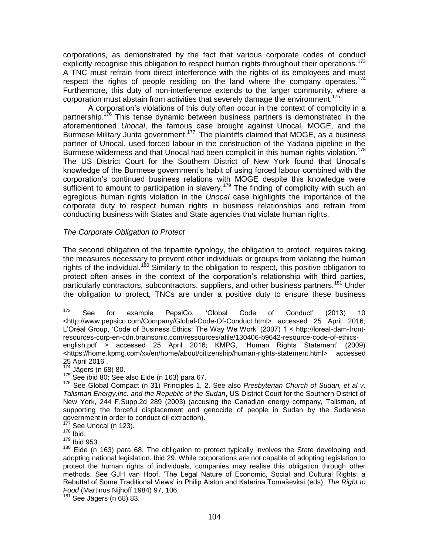corporations, as demonstrated by the fact that various corporate codes of conduct explicitly recognise this obligation to respect human rights throughout their operations.<sup>173</sup> A TNC must refrain from direct interference with the rights of its employees and must respect the rights of people residing on the land where the company operates.<sup>174</sup> Furthermore, this duty of non-interference extends to the larger community, where a corporation must abstain from activities that severely damage the environment.<sup>175</sup>

A corporation's violations of this duty often occur in the context of complicity in a partnership.<sup>176</sup> This tense dynamic between business partners is demonstrated in the aforementioned *Unocal*, the famous case brought against Unocal, MOGE, and the Burmese Military Junta government.<sup>177</sup> The plaintiffs claimed that MOGE, as a business partner of Unocal, used forced labour in the construction of the Yadana pipeline in the Burmese wilderness and that Unocal had been complicit in this human rights violation.<sup>178</sup> The US District Court for the Southern District of New York found that Unocal's knowledge of the Burmese government's habit of using forced labour combined with the corporation's continued business relations with MOGE despite this knowledge were sufficient to amount to participation in slavery.<sup>179</sup> The finding of complicity with such an egregious human rights violation in the *Unocal* case highlights the importance of the corporate duty to respect human rights in business relationships and refrain from conducting business with States and State agencies that violate human rights.

#### *The Corporate Obligation to Protect*

The second obligation of the tripartite typology, the obligation to protect, requires taking the measures necessary to prevent other individuals or groups from violating the human rights of the individual.<sup>180</sup> Similarly to the obligation to respect, this positive obligation to protect often arises in the context of the corporation's relationship with third parties, particularly contractors, subcontractors, suppliers, and other business partners.<sup>181</sup> Under the obligation to protect, TNCs are under a positive duty to ensure these business

<sup>173</sup> <sup>173</sup> See for example PepsiCo, 'Global Code of Conduct' (2013) 10 <http://www.pepsico.com/Company/Global-Code-Of-Conduct.html> accessed 25 April 2016; L'Oréal Group, 'Code of Business Ethics: The Way We Work' (2007) 1 < http://loreal-dam-frontresources-corp-en-cdn.brainsonic.com/ressources/afile/130406-b9642-resource-code-of-ethicsenglish.pdf > accessed 25 April 2016; KMPG, 'Human Rights Statement' (2009) <https://home.kpmg.com/xx/en/home/about/citizenship/human-rights-statement.html> accessed 25 April 2016 .

<sup>174</sup> Jägers (n 68) 80.

<sup>175</sup> See ibid 80; See also Eide (n 163) para 67.

<sup>176</sup> See Global Compact (n 31) Principles 1, 2. See also *Presbyterian Church of Sudan, et al v. Talisman Energy,Inc. and the Republic of the Sudan*, US District Court for the Southern District of New York, 244 F.Supp.2d 289 (2003) (accusing the Canadian energy company, Talisman, of supporting the forceful displacement and genocide of people in Sudan by the Sudanese government in order to conduct oil extraction).

See Unocal (n 123).

 $178$  Ibid.

<sup>179</sup> Ibid 953.

 $180$  Eide (n 163) para 68. The obligation to protect typically involves the State developing and adopting national legislation. Ibid 29. While corporations are not capable of adopting legislation to protect the human rights of individuals, companies may realise this obligation through other methods. See GJH van Hoof, 'The Legal Nature of Economic, Social and Cultural Rights: a Rebuttal of Some Traditional Views' in Philip Alston and Katerina Tomaševksi (eds), *The Right to Food* (Martinus Nijhoff 1984) 97, 106.

<sup>181</sup> See Jägers (n 68) 83.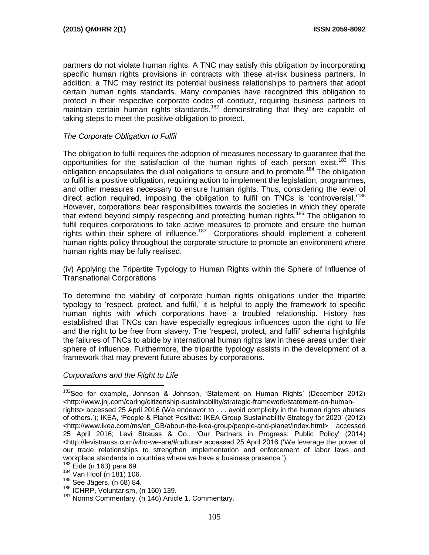partners do not violate human rights. A TNC may satisfy this obligation by incorporating specific human rights provisions in contracts with these at-risk business partners. In addition, a TNC may restrict its potential business relationships to partners that adopt certain human rights standards. Many companies have recognized this obligation to protect in their respective corporate codes of conduct, requiring business partners to maintain certain human rights standards,<sup>182</sup> demonstrating that they are capable of taking steps to meet the positive obligation to protect.

## *The Corporate Obligation to Fulfil*

The obligation to fulfil requires the adoption of measures necessary to guarantee that the opportunities for the satisfaction of the human rights of each person exist.<sup>183</sup> This obligation encapsulates the dual obligations to ensure and to promote.<sup>184</sup> The obligation to fulfil is a positive obligation, requiring action to implement the legislation, programmes, and other measures necessary to ensure human rights. Thus, considering the level of direct action required, imposing the obligation to fulfil on TNCs is 'controversial.'<sup>185</sup> However, corporations bear responsibilities towards the societies in which they operate that extend beyond simply respecting and protecting human rights.<sup>186</sup> The obligation to fulfil requires corporations to take active measures to promote and ensure the human rights within their sphere of influence.<sup>187</sup> Corporations should implement a coherent human rights policy throughout the corporate structure to promote an environment where human rights may be fully realised.

(iv) Applying the Tripartite Typology to Human Rights within the Sphere of Influence of Transnational Corporations

To determine the viability of corporate human rights obligations under the tripartite typology to 'respect, protect, and fulfil,' it is helpful to apply the framework to specific human rights with which corporations have a troubled relationship. History has established that TNCs can have especially egregious influences upon the right to life and the right to be free from slavery. The 'respect, protect, and fulfil' schema highlights the failures of TNCs to abide by international human rights law in these areas under their sphere of influence. Furthermore, the tripartite typology assists in the development of a framework that may prevent future abuses by corporations.

## *Corporations and the Right to Life*

 $183$  Eide (n 163) para 69.

<sup>&</sup>lt;sup>182</sup>See for example, Johnson & Johnson, 'Statement on Human Rights' (December 2012) <http://www.jnj.com/caring/citizenship-sustainability/strategic-framework/statement-on-humanrights> accessed 25 April 2016 (We endeavor to . . . avoid complicity in the human rights abuses of others.'); IKEA, 'People & Planet Positive: IKEA Group Sustainability Strategy for 2020' (2012) <http://www.ikea.com/ms/en\_GB/about-the-ikea-group/people-and-planet/index.html> accessed 25 April 2016; Levi Strauss & Co., 'Our Partners in Progress: Public Policy' (2014) <http://levistrauss.com/who-we-are/#culture> accessed 25 April 2016 ('We leverage the power of our trade relationships to strengthen implementation and enforcement of labor laws and workplace standards in countries where we have a business presence.').

<sup>184</sup> Van Hoof (n 181) 106.

<sup>185</sup> See Jägers, (n 68) 84.

 $186$  ICHRP, Voluntarism, (n 160) 139.

<sup>&</sup>lt;sup>187</sup> Norms Commentary, (n 146) Article 1, Commentary.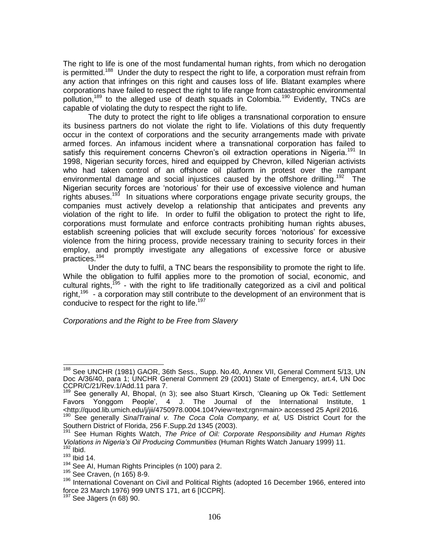The right to life is one of the most fundamental human rights, from which no derogation is permitted.<sup>188</sup> Under the duty to respect the right to life, a corporation must refrain from any action that infringes on this right and causes loss of life. Blatant examples where corporations have failed to respect the right to life range from catastrophic environmental pollution,<sup>189</sup> to the alleged use of death squads in Colombia.<sup>190</sup> Evidently, TNCs are capable of violating the duty to respect the right to life.

The duty to protect the right to life obliges a transnational corporation to ensure its business partners do not violate the right to life. Violations of this duty frequently occur in the context of corporations and the security arrangements made with private armed forces. An infamous incident where a transnational corporation has failed to satisfy this requirement concerns Chevron's oil extraction operations in Nigeria.<sup>191</sup> In 1998, Nigerian security forces, hired and equipped by Chevron, killed Nigerian activists who had taken control of an offshore oil platform in protest over the rampant environmental damage and social injustices caused by the offshore drilling.<sup>192</sup> The Nigerian security forces are 'notorious' for their use of excessive violence and human rights abuses.<sup>193</sup> In situations where corporations engage private security groups, the companies must actively develop a relationship that anticipates and prevents any violation of the right to life. In order to fulfil the obligation to protect the right to life, corporations must formulate and enforce contracts prohibiting human rights abuses, establish screening policies that will exclude security forces 'notorious' for excessive violence from the hiring process, provide necessary training to security forces in their employ, and promptly investigate any allegations of excessive force or abusive practices.<sup>194</sup>

Under the duty to fulfil, a TNC bears the responsibility to promote the right to life. While the obligation to fulfil applies more to the promotion of social, economic, and cultural rights,<sup>195</sup> - with the right to life traditionally categorized as a civil and political right,<sup>196</sup> - a corporation may still contribute to the development of an environment that is conducive to respect for the right to life.<sup>197</sup>

*Corporations and the Right to be Free from Slavery*

 <sup>188</sup> See UNCHR (1981) GAOR, 36th Sess., Supp. No.40, Annex VII, General Comment 5/13, UN Doc A/36/40, para 1; UNCHR General Comment 29 (2001) State of Emergency, art.4, UN Doc CCPR/C/21/Rev.1/Add.11 para 7.

<sup>&</sup>lt;sup>1</sup> See generally AI, Bhopal, (n 3); see also Stuart Kirsch, 'Cleaning up Ok Tedi: Settlement Favors Yonggom People', 4 J. The Journal of the International Institute, 1 <http://quod.lib.umich.edu/j/jii/4750978.0004.104?view=text;rgn=main> accessed 25 April 2016. <sup>190</sup> See generally *SinalTrainal v. The Coca Cola Company, et al,* US District Court for the

Southern District of Florida, 256 F.Supp.2d 1345 (2003).

<sup>191</sup> See Human Rights Watch, *The Price of Oil: Corporate Responsibility and Human Rights Violations in Nigeria's Oil Producing Communities* (Human Rights Watch January 1999) 11.  $192$  Ibid.

 $193$  Ibid 14.

<sup>&</sup>lt;sup>194</sup> See AI, Human Rights Principles (n 100) para 2.

<sup>195</sup> See Craven, (n 165) 8-9.

<sup>&</sup>lt;sup>196</sup> International Covenant on Civil and Political Rights (adopted 16 December 1966, entered into force 23 March 1976) 999 UNTS 171, art 6 [ICCPR].

<sup>&</sup>lt;sup>197</sup> See Jägers (n 68) 90.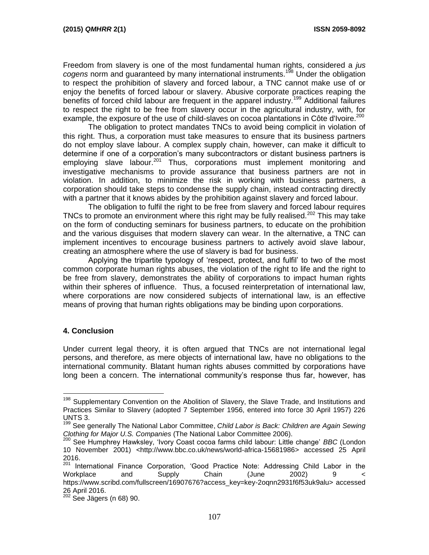Freedom from slavery is one of the most fundamental human rights, considered a *jus cogens* norm and guaranteed by many international instruments.<sup>198</sup> Under the obligation to respect the prohibition of slavery and forced labour, a TNC cannot make use of or enjoy the benefits of forced labour or slavery. Abusive corporate practices reaping the benefits of forced child labour are frequent in the apparel industry.<sup>199</sup> Additional failures to respect the right to be free from slavery occur in the agricultural industry, with, for example, the exposure of the use of child-slaves on cocoa plantations in Côte d'Ivoire.<sup>200</sup>

The obligation to protect mandates TNCs to avoid being complicit in violation of this right. Thus, a corporation must take measures to ensure that its business partners do not employ slave labour. A complex supply chain, however, can make it difficult to determine if one of a corporation's many subcontractors or distant business partners is employing slave labour.<sup>201</sup> Thus, corporations must implement monitoring and investigative mechanisms to provide assurance that business partners are not in violation. In addition, to minimize the risk in working with business partners, a corporation should take steps to condense the supply chain, instead contracting directly with a partner that it knows abides by the prohibition against slavery and forced labour.

The obligation to fulfil the right to be free from slavery and forced labour requires TNCs to promote an environment where this right may be fully realised.<sup>202</sup> This may take on the form of conducting seminars for business partners, to educate on the prohibition and the various disguises that modern slavery can wear. In the alternative, a TNC can implement incentives to encourage business partners to actively avoid slave labour, creating an atmosphere where the use of slavery is bad for business.

Applying the tripartite typology of 'respect, protect, and fulfil' to two of the most common corporate human rights abuses, the violation of the right to life and the right to be free from slavery, demonstrates the ability of corporations to impact human rights within their spheres of influence. Thus, a focused reinterpretation of international law, where corporations are now considered subjects of international law, is an effective means of proving that human rights obligations may be binding upon corporations.

## **4. Conclusion**

 $\overline{a}$ 

Under current legal theory, it is often argued that TNCs are not international legal persons, and therefore, as mere objects of international law, have no obligations to the international community. Blatant human rights abuses committed by corporations have long been a concern. The international community's response thus far, however, has

<sup>&</sup>lt;sup>198</sup> Supplementary Convention on the Abolition of Slavery, the Slave Trade, and Institutions and Practices Similar to Slavery (adopted 7 September 1956, entered into force 30 April 1957) 226 UNTS 3.

<sup>199</sup> See generally The National Labor Committee, *Child Labor is Back: Children are Again Sewing Clothing for Major U.S. Companies* (The National Labor Committee 2006).

<sup>200</sup> See Humphrey Hawksley, 'Ivory Coast cocoa farms child labour: Little change' *BBC* (London 10 November 2001) <http://www.bbc.co.uk/news/world-africa-15681986> accessed 25 April 2016.

 $201$  International Finance Corporation, 'Good Practice Note: Addressing Child Labor in the<br>Workplace and Supply Chain (June 2002) 9 < Workplace and Supply Chain (June 2002) 9 < https://www.scribd.com/fullscreen/16907676?access\_key=key-2oqnn2931f6f53uk9alu> accessed 26 April 2016.

<sup>202</sup> See Jägers (n 68) 90.